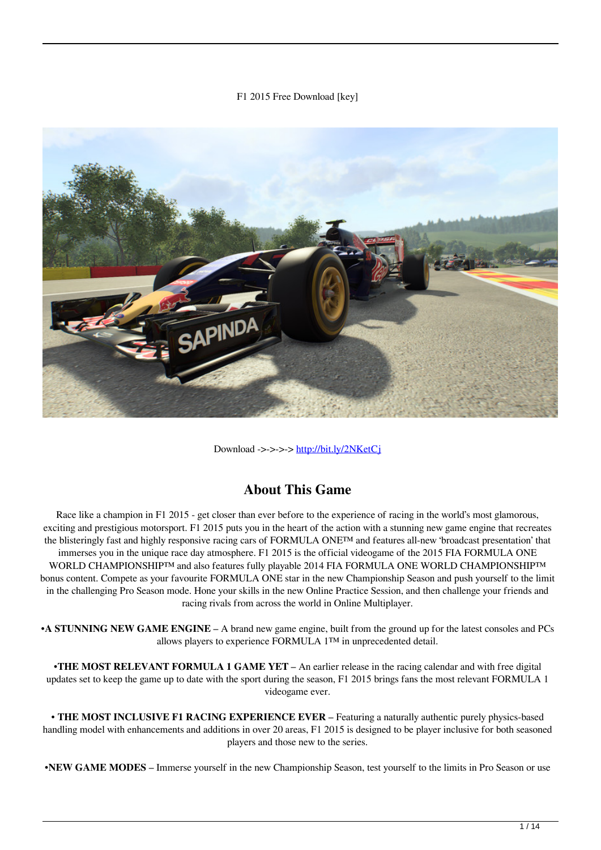### F1 2015 Free Download [key]



Download ->->->-> [http://bit.ly/2NKetCj](http://picfs.com/17i9q7)

# **About This Game**

Race like a champion in F1 2015 - get closer than ever before to the experience of racing in the world's most glamorous, exciting and prestigious motorsport. F1 2015 puts you in the heart of the action with a stunning new game engine that recreates the blisteringly fast and highly responsive racing cars of FORMULA ONE™ and features all-new 'broadcast presentation' that immerses you in the unique race day atmosphere. F1 2015 is the official videogame of the 2015 FIA FORMULA ONE WORLD CHAMPIONSHIP™ and also features fully playable 2014 FIA FORMULA ONE WORLD CHAMPIONSHIP™ bonus content. Compete as your favourite FORMULA ONE star in the new Championship Season and push yourself to the limit in the challenging Pro Season mode. Hone your skills in the new Online Practice Session, and then challenge your friends and racing rivals from across the world in Online Multiplayer.

•**A STUNNING NEW GAME ENGINE** – A brand new game engine, built from the ground up for the latest consoles and PCs allows players to experience FORMULA 1™ in unprecedented detail.

•**THE MOST RELEVANT FORMULA 1 GAME YET** – An earlier release in the racing calendar and with free digital updates set to keep the game up to date with the sport during the season, F1 2015 brings fans the most relevant FORMULA 1 videogame ever.

• **THE MOST INCLUSIVE F1 RACING EXPERIENCE EVER** – Featuring a naturally authentic purely physics-based handling model with enhancements and additions in over 20 areas, F1 2015 is designed to be player inclusive for both seasoned players and those new to the series.

•**NEW GAME MODES** – Immerse yourself in the new Championship Season, test yourself to the limits in Pro Season or use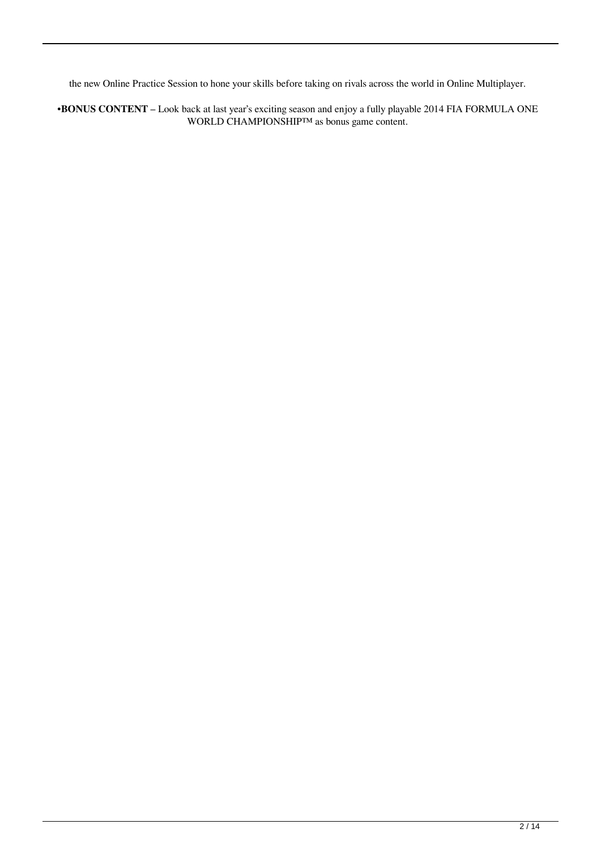the new Online Practice Session to hone your skills before taking on rivals across the world in Online Multiplayer.

•**BONUS CONTENT** – Look back at last year's exciting season and enjoy a fully playable 2014 FIA FORMULA ONE WORLD CHAMPIONSHIP™ as bonus game content.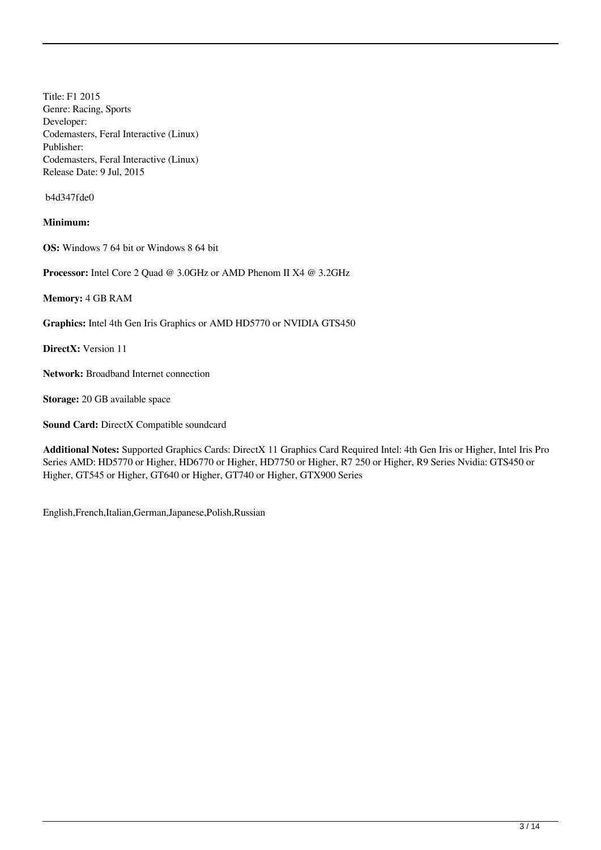Title: F1 2015 Genre: Racing, Sports Developer: Codemasters, Feral Interactive (Linux) Publisher: Codemasters, Feral Interactive (Linux) Release Date: 9 Jul, 2015

b4d347fde0

### **Minimum:**

**OS:** Windows 7 64 bit or Windows 8 64 bit

**Processor:** Intel Core 2 Quad @ 3.0GHz or AMD Phenom II X4 @ 3.2GHz

**Memory:** 4 GB RAM

**Graphics:** Intel 4th Gen Iris Graphics or AMD HD5770 or NVIDIA GTS450

**DirectX:** Version 11

**Network:** Broadband Internet connection

**Storage:** 20 GB available space

**Sound Card:** DirectX Compatible soundcard

**Additional Notes:** Supported Graphics Cards: DirectX 11 Graphics Card Required Intel: 4th Gen Iris or Higher, Intel Iris Pro Series AMD: HD5770 or Higher, HD6770 or Higher, HD7750 or Higher, R7 250 or Higher, R9 Series Nvidia: GTS450 or Higher, GT545 or Higher, GT640 or Higher, GT740 or Higher, GTX900 Series

English,French,Italian,German,Japanese,Polish,Russian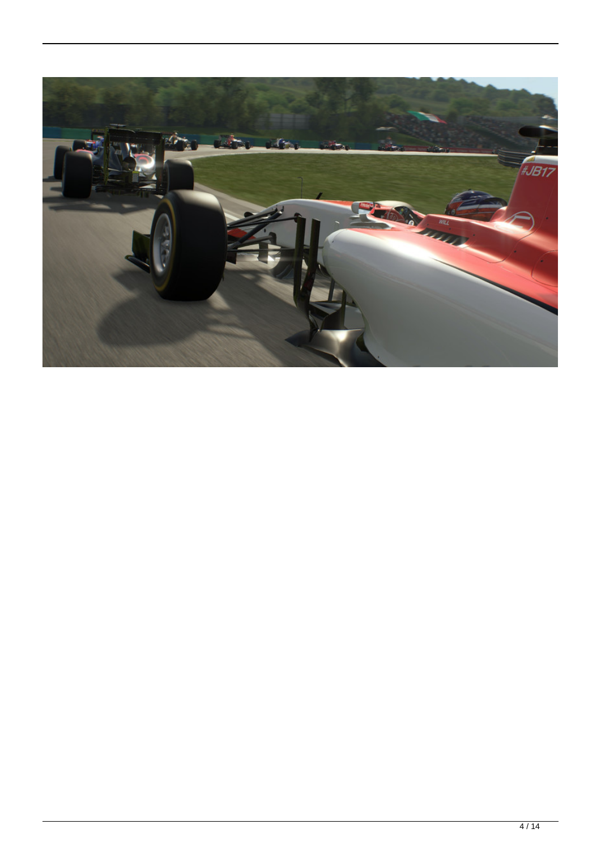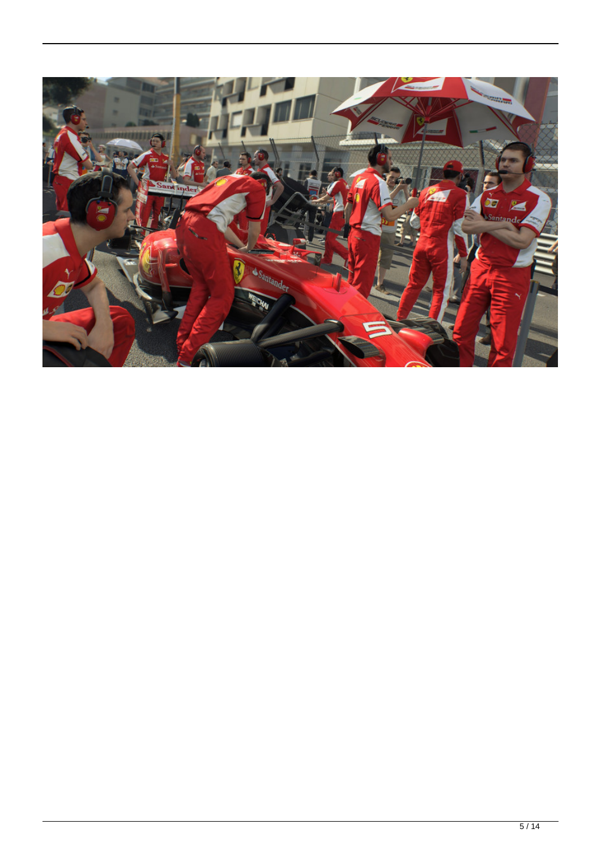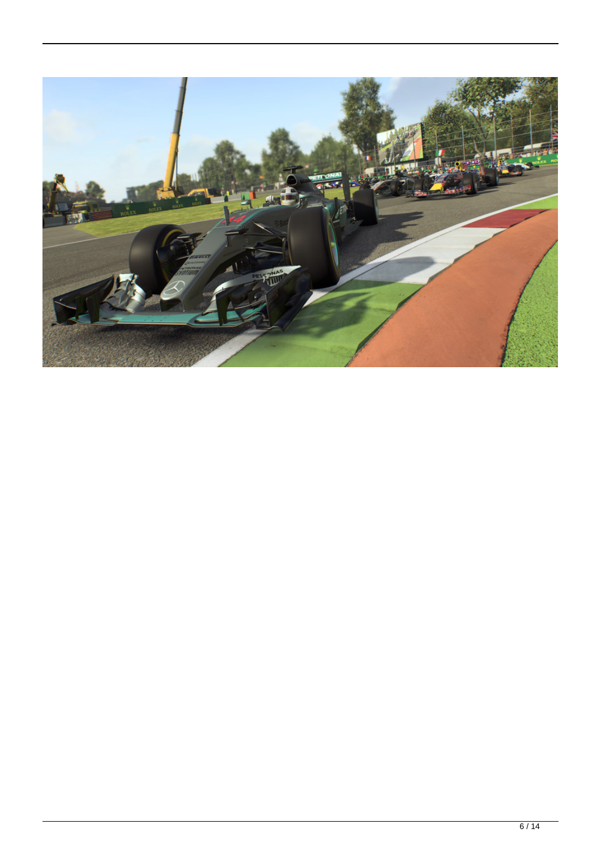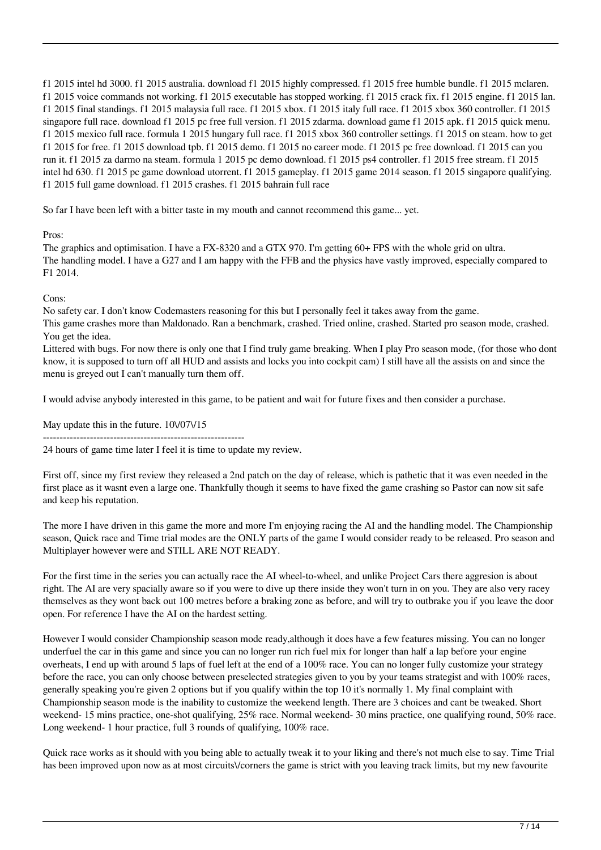f1 2015 intel hd 3000. f1 2015 australia. download f1 2015 highly compressed. f1 2015 free humble bundle. f1 2015 mclaren. f1 2015 voice commands not working. f1 2015 executable has stopped working. f1 2015 crack fix. f1 2015 engine. f1 2015 lan. f1 2015 final standings. f1 2015 malaysia full race. f1 2015 xbox. f1 2015 italy full race. f1 2015 xbox 360 controller. f1 2015 singapore full race. download f1 2015 pc free full version. f1 2015 zdarma. download game f1 2015 apk. f1 2015 quick menu. f1 2015 mexico full race. formula 1 2015 hungary full race. f1 2015 xbox 360 controller settings. f1 2015 on steam. how to get f1 2015 for free. f1 2015 download tpb. f1 2015 demo. f1 2015 no career mode. f1 2015 pc free download. f1 2015 can you run it. f1 2015 za darmo na steam. formula 1 2015 pc demo download. f1 2015 ps4 controller. f1 2015 free stream. f1 2015 intel hd 630, f1 2015 pc game download utorrent. f1 2015 gameplay. f1 2015 game 2014 season. f1 2015 singapore qualifying. f1 2015 full game download. f1 2015 crashes. f1 2015 bahrain full race

So far I have been left with a bitter taste in my mouth and cannot recommend this game... yet.

Pros:

The graphics and optimisation. I have a FX-8320 and a GTX 970. I'm getting 60+ FPS with the whole grid on ultra. The handling model. I have a G27 and I am happy with the FFB and the physics have vastly improved, especially compared to F1 2014.

### Cons<sup>.</sup>

No safety car. I don't know Codemasters reasoning for this but I personally feel it takes away from the game. This game crashes more than Maldonado. Ran a benchmark, crashed. Tried online, crashed. Started pro season mode, crashed. You get the idea.

Littered with bugs. For now there is only one that I find truly game breaking. When I play Pro season mode, (for those who dont know, it is supposed to turn off all HUD and assists and locks you into cockpit cam) I still have all the assists on and since the menu is greyed out I can't manually turn them off.

I would advise anybody interested in this game, to be patient and wait for future fixes and then consider a purchase.

May update this in the future. 10 $\sqrt{07}/15$ 

------------------------------------------------------------

24 hours of game time later I feel it is time to update my review.

First off, since my first review they released a 2nd patch on the day of release, which is pathetic that it was even needed in the first place as it wasnt even a large one. Thankfully though it seems to have fixed the game crashing so Pastor can now sit safe and keep his reputation.

The more I have driven in this game the more and more I'm enjoying racing the AI and the handling model. The Championship season, Quick race and Time trial modes are the ONLY parts of the game I would consider ready to be released. Pro season and Multiplayer however were and STILL ARE NOT READY.

For the first time in the series you can actually race the AI wheel-to-wheel, and unlike Project Cars there aggresion is about right. The AI are very spacially aware so if you were to dive up there inside they won't turn in on you. They are also very racey themselves as they wont back out 100 metres before a braking zone as before, and will try to outbrake you if you leave the door open. For reference I have the AI on the hardest setting.

However I would consider Championship season mode ready,although it does have a few features missing. You can no longer underfuel the car in this game and since you can no longer run rich fuel mix for longer than half a lap before your engine overheats, I end up with around 5 laps of fuel left at the end of a 100% race. You can no longer fully customize your strategy before the race, you can only choose between preselected strategies given to you by your teams strategist and with 100% races, generally speaking you're given 2 options but if you qualify within the top 10 it's normally 1. My final complaint with Championship season mode is the inability to customize the weekend length. There are 3 choices and cant be tweaked. Short weekend- 15 mins practice, one-shot qualifying, 25% race. Normal weekend- 30 mins practice, one qualifying round, 50% race. Long weekend- 1 hour practice, full 3 rounds of qualifying, 100% race.

Quick race works as it should with you being able to actually tweak it to your liking and there's not much else to say. Time Trial has been improved upon now as at most circuits $\sqrt{ }$  corners the game is strict with you leaving track limits, but my new favourable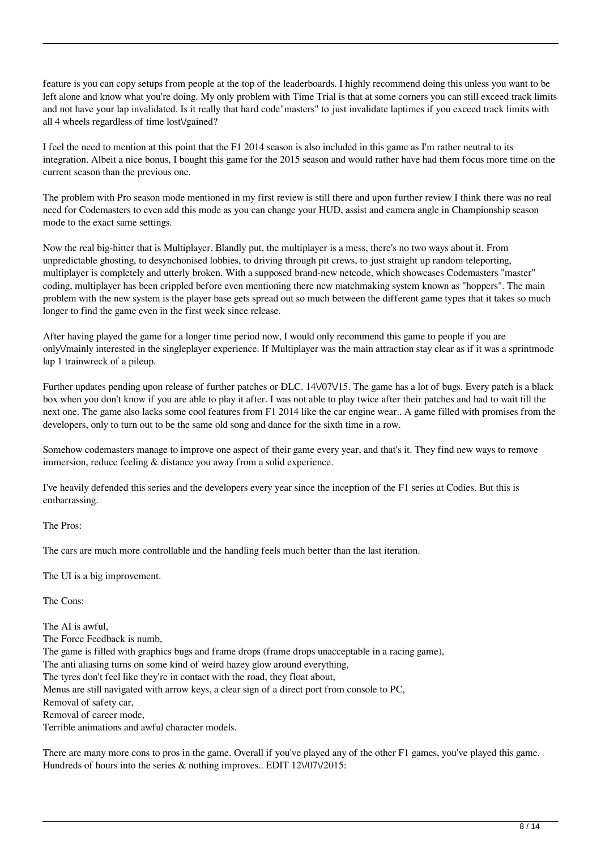feature is you can copy setups from people at the top of the leaderboards. I highly recommend doing this unless you want to be left alone and know what you're doing. My only problem with Time Trial is that at some corners you can still exceed track limits and not have your lap invalidated. Is it really that hard code"masters" to just invalidate laptimes if you exceed track limits with all 4 wheels regardless of time lost\/gained?

I feel the need to mention at this point that the F1 2014 season is also included in this game as I'm rather neutral to its integration. Albeit a nice bonus, I bought this game for the 2015 season and would rather have had them focus more time on the current season than the previous one.

The problem with Pro season mode mentioned in my first review is still there and upon further review I think there was no real need for Codemasters to even add this mode as you can change your HUD, assist and camera angle in Championship season mode to the exact same settings.

Now the real big-hitter that is Multiplayer. Blandly put, the multiplayer is a mess, there's no two ways about it. From unpredictable ghosting, to desynchonised lobbies, to driving through pit crews, to just straight up random teleporting, multiplayer is completely and utterly broken. With a supposed brand-new netcode, which showcases Codemasters "master" coding, multiplayer has been crippled before even mentioning there new matchmaking system known as "hoppers". The main problem with the new system is the player base gets spread out so much between the different game types that it takes so much longer to find the game even in the first week since release.

After having played the game for a longer time period now, I would only recommend this game to people if you are only\/mainly interested in the singleplayer experience. If Multiplayer was the main attraction stay clear as if it was a sprintmode lap 1 trainwreck of a pileup.

Further updates pending upon release of further patches or DLC. 14 $\sqrt{07}\sqrt{15}$ . The game has a lot of bugs. Every patch is a black box when you don't know if you are able to play it after. I was not able to play twice after their patches and had to wait till the next one. The game also lacks some cool features from F1 2014 like the car engine wear.. A game filled with promises from the developers, only to turn out to be the same old song and dance for the sixth time in a row.

Somehow codemasters manage to improve one aspect of their game every year, and that's it. They find new ways to remove immersion, reduce feeling & distance you away from a solid experience.

I've heavily defended this series and the developers every year since the inception of the F1 series at Codies. But this is embarrassing.

The Pros:

The cars are much more controllable and the handling feels much better than the last iteration.

The UI is a big improvement.

The Cons:

The AI is awful, The Force Feedback is numb, The game is filled with graphics bugs and frame drops (frame drops unacceptable in a racing game), The anti aliasing turns on some kind of weird hazey glow around everything, The tyres don't feel like they're in contact with the road, they float about, Menus are still navigated with arrow keys, a clear sign of a direct port from console to PC, Removal of safety car, Removal of career mode, Terrible animations and awful character models.

There are many more cons to pros in the game. Overall if you've played any of the other F1 games, you've played this game. Hundreds of hours into the series  $&$  nothing improves.. EDIT 12 $\sqrt{07}\sqrt{2015}$ :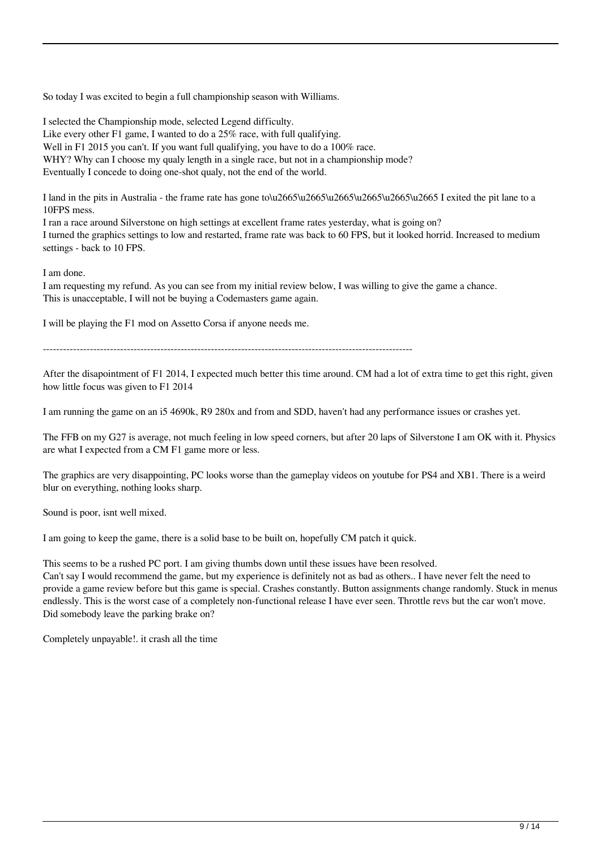So today I was excited to begin a full championship season with Williams.

I selected the Championship mode, selected Legend difficulty. Like every other F1 game, I wanted to do a 25% race, with full qualifying. Well in F1 2015 you can't. If you want full qualifying, you have to do a 100% race. WHY? Why can I choose my qualy length in a single race, but not in a championship mode? Eventually I concede to doing one-shot qualy, not the end of the world.

I land in the pits in Australia - the frame rate has gone to\u2665\u2665\u2665\u2665\u2665\u2665 I exited the pit lane to a 10FPS mess.

I ran a race around Silverstone on high settings at excellent frame rates yesterday, what is going on? I turned the graphics settings to low and restarted, frame rate was back to 60 FPS, but it looked horrid. Increased to medium settings - back to 10 FPS.

I am done.

I am requesting my refund. As you can see from my initial review below, I was willing to give the game a chance. This is unacceptable, I will not be buying a Codemasters game again.

I will be playing the F1 mod on Assetto Corsa if anyone needs me.

--------------------------------------------------------------------------------------------------------------

After the disapointment of F1 2014, I expected much better this time around. CM had a lot of extra time to get this right, given how little focus was given to F1 2014

I am running the game on an i5 4690k, R9 280x and from and SDD, haven't had any performance issues or crashes yet.

The FFB on my G27 is average, not much feeling in low speed corners, but after 20 laps of Silverstone I am OK with it. Physics are what I expected from a CM F1 game more or less.

The graphics are very disappointing, PC looks worse than the gameplay videos on youtube for PS4 and XB1. There is a weird blur on everything, nothing looks sharp.

Sound is poor, isnt well mixed.

I am going to keep the game, there is a solid base to be built on, hopefully CM patch it quick.

This seems to be a rushed PC port. I am giving thumbs down until these issues have been resolved.

Can't say I would recommend the game, but my experience is definitely not as bad as others.. I have never felt the need to provide a game review before but this game is special. Crashes constantly. Button assignments change randomly. Stuck in menus endlessly. This is the worst case of a completely non-functional release I have ever seen. Throttle revs but the car won't move. Did somebody leave the parking brake on?

Completely unpayable!. it crash all the time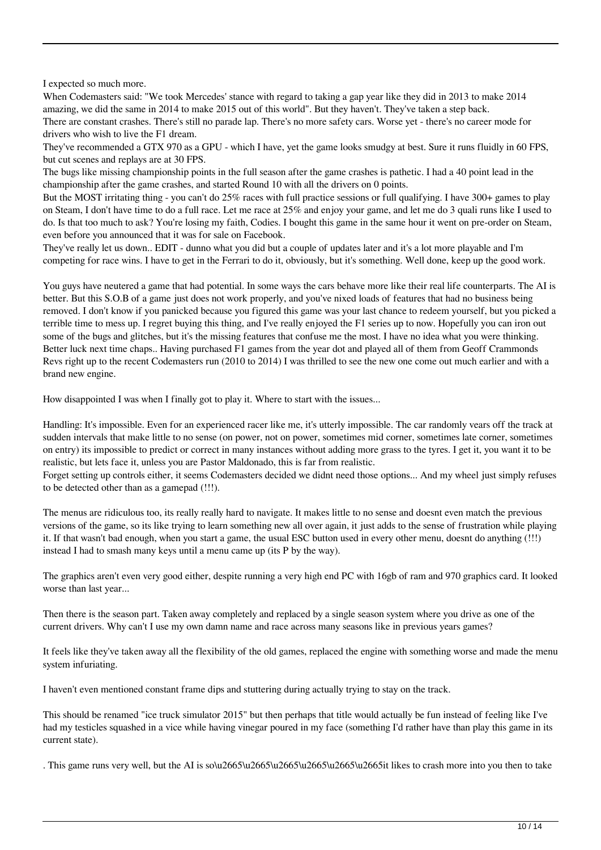I expected so much more.

When Codemasters said: "We took Mercedes' stance with regard to taking a gap year like they did in 2013 to make 2014 amazing, we did the same in 2014 to make 2015 out of this world". But they haven't. They've taken a step back.

There are constant crashes. There's still no parade lap. There's no more safety cars. Worse yet - there's no career mode for drivers who wish to live the F1 dream.

They've recommended a GTX 970 as a GPU - which I have, yet the game looks smudgy at best. Sure it runs fluidly in 60 FPS, but cut scenes and replays are at 30 FPS.

The bugs like missing championship points in the full season after the game crashes is pathetic. I had a 40 point lead in the championship after the game crashes, and started Round 10 with all the drivers on 0 points.

But the MOST irritating thing - you can't do 25% races with full practice sessions or full qualifying. I have 300+ games to play on Steam, I don't have time to do a full race. Let me race at 25% and enjoy your game, and let me do 3 quali runs like I used to do. Is that too much to ask? You're losing my faith, Codies. I bought this game in the same hour it went on pre-order on Steam, even before you announced that it was for sale on Facebook.

They've really let us down.. EDIT - dunno what you did but a couple of updates later and it's a lot more playable and I'm competing for race wins. I have to get in the Ferrari to do it, obviously, but it's something. Well done, keep up the good work.

You guys have neutered a game that had potential. In some ways the cars behave more like their real life counterparts. The AI is better. But this S.O.B of a game just does not work properly, and you've nixed loads of features that had no business being removed. I don't know if you panicked because you figured this game was your last chance to redeem yourself, but you picked a terrible time to mess up. I regret buying this thing, and I've really enjoyed the F1 series up to now. Hopefully you can iron out some of the bugs and glitches, but it's the missing features that confuse me the most. I have no idea what you were thinking. Better luck next time chaps.. Having purchased F1 games from the year dot and played all of them from Geoff Crammonds Revs right up to the recent Codemasters run (2010 to 2014) I was thrilled to see the new one come out much earlier and with a brand new engine.

How disappointed I was when I finally got to play it. Where to start with the issues...

Handling: It's impossible. Even for an experienced racer like me, it's utterly impossible. The car randomly vears off the track at sudden intervals that make little to no sense (on power, not on power, sometimes mid corner, sometimes late corner, sometimes on entry) its impossible to predict or correct in many instances without adding more grass to the tyres. I get it, you want it to be realistic, but lets face it, unless you are Pastor Maldonado, this is far from realistic.

Forget setting up controls either, it seems Codemasters decided we didnt need those options... And my wheel just simply refuses to be detected other than as a gamepad (!!!).

The menus are ridiculous too, its really really hard to navigate. It makes little to no sense and doesnt even match the previous versions of the game, so its like trying to learn something new all over again, it just adds to the sense of frustration while playing it. If that wasn't bad enough, when you start a game, the usual ESC button used in every other menu, doesnt do anything (!!!) instead I had to smash many keys until a menu came up (its P by the way).

The graphics aren't even very good either, despite running a very high end PC with 16gb of ram and 970 graphics card. It looked worse than last year...

Then there is the season part. Taken away completely and replaced by a single season system where you drive as one of the current drivers. Why can't I use my own damn name and race across many seasons like in previous years games?

It feels like they've taken away all the flexibility of the old games, replaced the engine with something worse and made the menu system infuriating.

I haven't even mentioned constant frame dips and stuttering during actually trying to stay on the track.

This should be renamed "ice truck simulator 2015" but then perhaps that title would actually be fun instead of feeling like I've had my testicles squashed in a vice while having vinegar poured in my face (something I'd rather have than play this game in its current state).

. This game runs very well, but the AI is so\u2665\u2665\u2665\u2665\u2665\u2665it likes to crash more into you then to take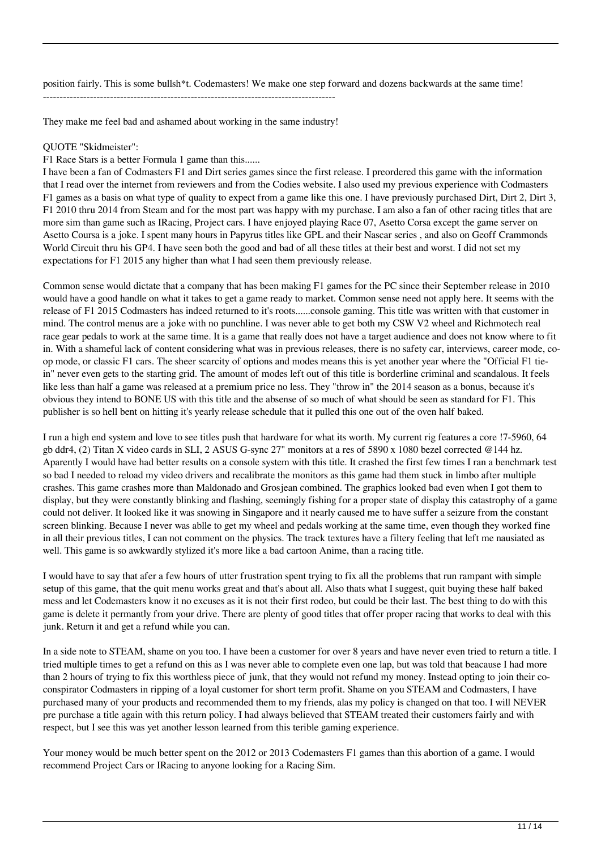position fairly. This is some bullsh\*t. Codemasters! We make one step forward and dozens backwards at the same time! ---------------------------------------------------------------------------------------

They make me feel bad and ashamed about working in the same industry!

## QUOTE "Skidmeister":

F1 Race Stars is a better Formula 1 game than this......

I have been a fan of Codmasters F1 and Dirt series games since the first release. I preordered this game with the information that I read over the internet from reviewers and from the Codies website. I also used my previous experience with Codmasters F1 games as a basis on what type of quality to expect from a game like this one. I have previously purchased Dirt, Dirt 2, Dirt 3, F1 2010 thru 2014 from Steam and for the most part was happy with my purchase. I am also a fan of other racing titles that are more sim than game such as IRacing, Project cars. I have enjoyed playing Race 07, Asetto Corsa except the game server on Asetto Coursa is a joke. I spent many hours in Papyrus titles like GPL and their Nascar series , and also on Geoff Crammonds World Circuit thru his GP4. I have seen both the good and bad of all these titles at their best and worst. I did not set my expectations for F1 2015 any higher than what I had seen them previously release.

Common sense would dictate that a company that has been making F1 games for the PC since their September release in 2010 would have a good handle on what it takes to get a game ready to market. Common sense need not apply here. It seems with the release of F1 2015 Codmasters has indeed returned to it's roots......console gaming. This title was written with that customer in mind. The control menus are a joke with no punchline. I was never able to get both my CSW V2 wheel and Richmotech real race gear pedals to work at the same time. It is a game that really does not have a target audience and does not know where to fit in. With a shameful lack of content considering what was in previous releases, there is no safety car, interviews, career mode, coop mode, or classic F1 cars. The sheer scarcity of options and modes means this is yet another year where the "Official F1 tiein" never even gets to the starting grid. The amount of modes left out of this title is borderline criminal and scandalous. It feels like less than half a game was released at a premium price no less. They "throw in" the 2014 season as a bonus, because it's obvious they intend to BONE US with this title and the absense of so much of what should be seen as standard for F1. This publisher is so hell bent on hitting it's yearly release schedule that it pulled this one out of the oven half baked.

I run a high end system and love to see titles push that hardware for what its worth. My current rig features a core !7-5960, 64 gb ddr4, (2) Titan X video cards in SLI, 2 ASUS G-sync 27" monitors at a res of 5890 x 1080 bezel corrected @144 hz. Aparently I would have had better results on a console system with this title. It crashed the first few times I ran a benchmark test so bad I needed to reload my video drivers and recalibrate the monitors as this game had them stuck in limbo after multiple crashes. This game crashes more than Maldonado and Grosjean combined. The graphics looked bad even when I got them to display, but they were constantly blinking and flashing, seemingly fishing for a proper state of display this catastrophy of a game could not deliver. It looked like it was snowing in Singapore and it nearly caused me to have suffer a seizure from the constant screen blinking. Because I never was ablle to get my wheel and pedals working at the same time, even though they worked fine in all their previous titles, I can not comment on the physics. The track textures have a filtery feeling that left me nausiated as well. This game is so awkwardly stylized it's more like a bad cartoon Anime, than a racing title.

I would have to say that afer a few hours of utter frustration spent trying to fix all the problems that run rampant with simple setup of this game, that the quit menu works great and that's about all. Also thats what I suggest, quit buying these half baked mess and let Codemasters know it no excuses as it is not their first rodeo, but could be their last. The best thing to do with this game is delete it permantly from your drive. There are plenty of good titles that offer proper racing that works to deal with this junk. Return it and get a refund while you can.

In a side note to STEAM, shame on you too. I have been a customer for over 8 years and have never even tried to return a title. I tried multiple times to get a refund on this as I was never able to complete even one lap, but was told that beacause I had more than 2 hours of trying to fix this worthless piece of junk, that they would not refund my money. Instead opting to join their coconspirator Codmasters in ripping of a loyal customer for short term profit. Shame on you STEAM and Codmasters, I have purchased many of your products and recommended them to my friends, alas my policy is changed on that too. I will NEVER pre purchase a title again with this return policy. I had always believed that STEAM treated their customers fairly and with respect, but I see this was yet another lesson learned from this terible gaming experience.

Your money would be much better spent on the 2012 or 2013 Codemasters F1 games than this abortion of a game. I would recommend Project Cars or IRacing to anyone looking for a Racing Sim.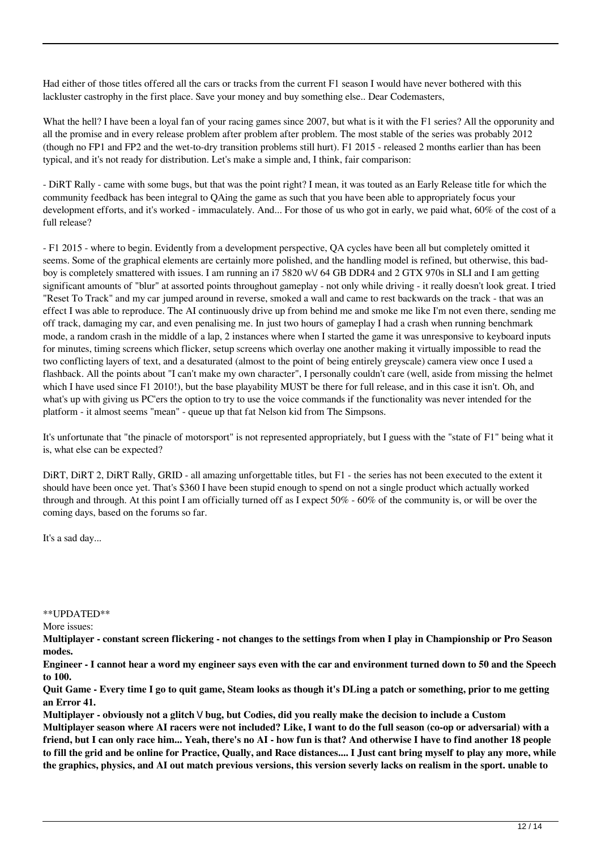Had either of those titles offered all the cars or tracks from the current F1 season I would have never bothered with this lackluster castrophy in the first place. Save your money and buy something else.. Dear Codemasters,

What the hell? I have been a loyal fan of your racing games since 2007, but what is it with the F1 series? All the opporunity and all the promise and in every release problem after problem after problem. The most stable of the series was probably 2012 (though no FP1 and FP2 and the wet-to-dry transition problems still hurt). F1 2015 - released 2 months earlier than has been typical, and it's not ready for distribution. Let's make a simple and, I think, fair comparison:

- DiRT Rally - came with some bugs, but that was the point right? I mean, it was touted as an Early Release title for which the community feedback has been integral to QAing the game as such that you have been able to appropriately focus your development efforts, and it's worked - immaculately. And... For those of us who got in early, we paid what, 60% of the cost of a full release?

- F1 2015 - where to begin. Evidently from a development perspective, QA cycles have been all but completely omitted it seems. Some of the graphical elements are certainly more polished, and the handling model is refined, but otherwise, this badboy is completely smattered with issues. I am running an i7 5820 w $\lor$  64 GB DDR4 and 2 GTX 970s in SLI and I am getting significant amounts of "blur" at assorted points throughout gameplay - not only while driving - it really doesn't look great. I tried "Reset To Track" and my car jumped around in reverse, smoked a wall and came to rest backwards on the track - that was an effect I was able to reproduce. The AI continuously drive up from behind me and smoke me like I'm not even there, sending me off track, damaging my car, and even penalising me. In just two hours of gameplay I had a crash when running benchmark mode, a random crash in the middle of a lap, 2 instances where when I started the game it was unresponsive to keyboard inputs for minutes, timing screens which flicker, setup screens which overlay one another making it virtually impossible to read the two conflicting layers of text, and a desaturated (almost to the point of being entirely greyscale) camera view once I used a flashback. All the points about "I can't make my own character", I personally couldn't care (well, aside from missing the helmet which I have used since F1 2010!), but the base playability MUST be there for full release, and in this case it isn't. Oh, and what's up with giving us PC'ers the option to try to use the voice commands if the functionality was never intended for the platform - it almost seems "mean" - queue up that fat Nelson kid from The Simpsons.

It's unfortunate that "the pinacle of motorsport" is not represented appropriately, but I guess with the "state of F1" being what it is, what else can be expected?

DiRT, DiRT 2, DiRT Rally, GRID - all amazing unforgettable titles, but F1 - the series has not been executed to the extent it should have been once yet. That's \$360 I have been stupid enough to spend on not a single product which actually worked through and through. At this point I am officially turned off as I expect 50% - 60% of the community is, or will be over the coming days, based on the forums so far.

It's a sad day...

\*\*UPDATED\*\*

More issues:

**Multiplayer - constant screen flickering - not changes to the settings from when I play in Championship or Pro Season modes.**

**Engineer - I cannot hear a word my engineer says even with the car and environment turned down to 50 and the Speech to 100.**

**Quit Game - Every time I go to quit game, Steam looks as though it's DLing a patch or something, prior to me getting an Error 41.**

**Multiplayer - obviously not a glitch \/ bug, but Codies, did you really make the decision to include a Custom Multiplayer season where AI racers were not included? Like, I want to do the full season (co-op or adversarial) with a friend, but I can only race him... Yeah, there's no AI - how fun is that? And otherwise I have to find another 18 people to fill the grid and be online for Practice, Qually, and Race distances.... I Just cant bring myself to play any more, while the graphics, physics, and AI out match previous versions, this version severly lacks on realism in the sport. unable to**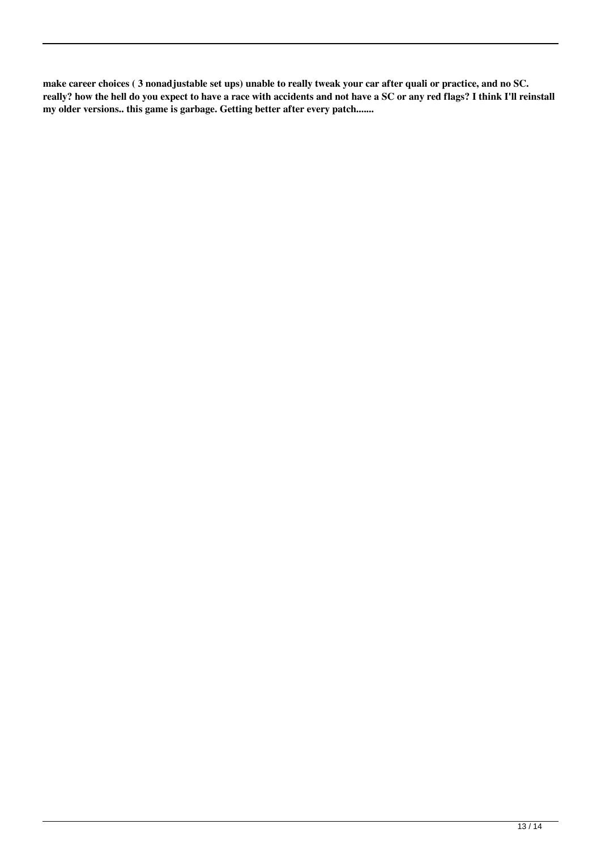**make career choices ( 3 nonadjustable set ups) unable to really tweak your car after quali or practice, and no SC. really? how the hell do you expect to have a race with accidents and not have a SC or any red flags? I think I'll reinstall my older versions.. this game is garbage. Getting better after every patch.......**